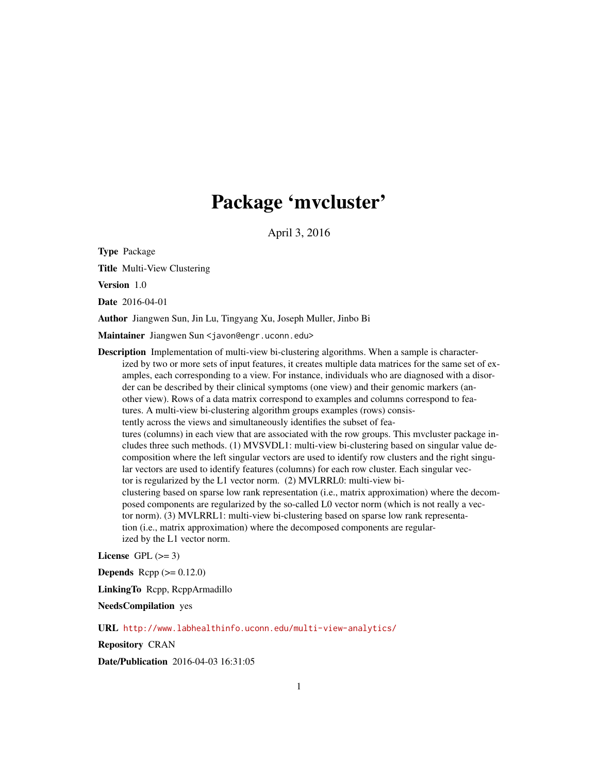## Package 'mvcluster'

April 3, 2016

Type Package

Title Multi-View Clustering

Version 1.0

Date 2016-04-01

Author Jiangwen Sun, Jin Lu, Tingyang Xu, Joseph Muller, Jinbo Bi

Maintainer Jiangwen Sun <javon@engr.uconn.edu>

**Description** Implementation of multi-view bi-clustering algorithms. When a sample is characterized by two or more sets of input features, it creates multiple data matrices for the same set of examples, each corresponding to a view. For instance, individuals who are diagnosed with a disorder can be described by their clinical symptoms (one view) and their genomic markers (another view). Rows of a data matrix correspond to examples and columns correspond to features. A multi-view bi-clustering algorithm groups examples (rows) consistently across the views and simultaneously identifies the subset of features (columns) in each view that are associated with the row groups. This mvcluster package includes three such methods. (1) MVSVDL1: multi-view bi-clustering based on singular value decomposition where the left singular vectors are used to identify row clusters and the right singular vectors are used to identify features (columns) for each row cluster. Each singular vector is regularized by the L1 vector norm. (2) MVLRRL0: multi-view biclustering based on sparse low rank representation (i.e., matrix approximation) where the decomposed components are regularized by the so-called L0 vector norm (which is not really a vector norm). (3) MVLRRL1: multi-view bi-clustering based on sparse low rank representation (i.e., matrix approximation) where the decomposed components are regularized by the L1 vector norm.

License GPL  $(>= 3)$ 

**Depends** Rcpp  $(>= 0.12.0)$ 

LinkingTo Rcpp, RcppArmadillo

NeedsCompilation yes

URL <http://www.labhealthinfo.uconn.edu/multi-view-analytics/>

Repository CRAN

Date/Publication 2016-04-03 16:31:05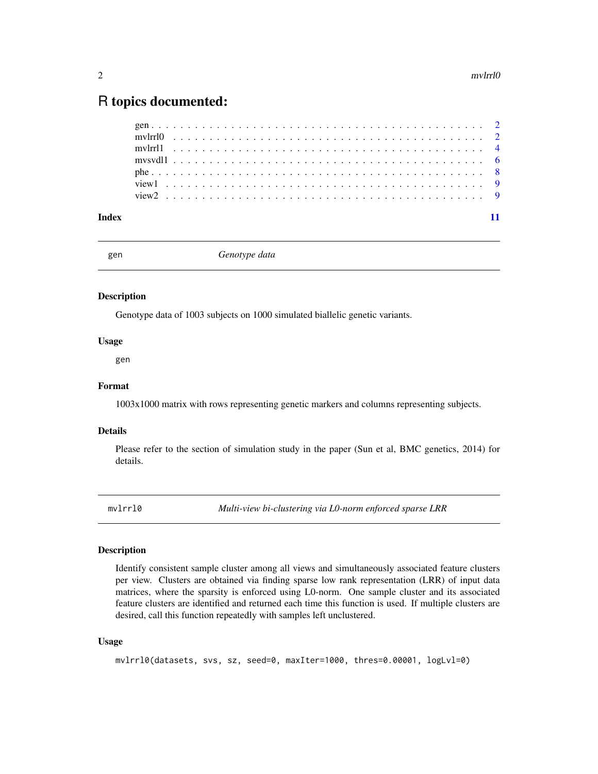### <span id="page-1-0"></span>R topics documented:

| Index |  |  |  |  |  |  |  |  |  |  |  |  |  |  |  |  |  |  |  |  |  |  |  |
|-------|--|--|--|--|--|--|--|--|--|--|--|--|--|--|--|--|--|--|--|--|--|--|--|

gen *Genotype data*

#### Description

Genotype data of 1003 subjects on 1000 simulated biallelic genetic variants.

#### Usage

gen

#### Format

1003x1000 matrix with rows representing genetic markers and columns representing subjects.

#### Details

Please refer to the section of simulation study in the paper (Sun et al, BMC genetics, 2014) for details.

mvlrrl0 *Multi-view bi-clustering via L0-norm enforced sparse LRR*

#### Description

Identify consistent sample cluster among all views and simultaneously associated feature clusters per view. Clusters are obtained via finding sparse low rank representation (LRR) of input data matrices, where the sparsity is enforced using L0-norm. One sample cluster and its associated feature clusters are identified and returned each time this function is used. If multiple clusters are desired, call this function repeatedly with samples left unclustered.

#### Usage

mvlrrl0(datasets, svs, sz, seed=0, maxIter=1000, thres=0.00001, logLvl=0)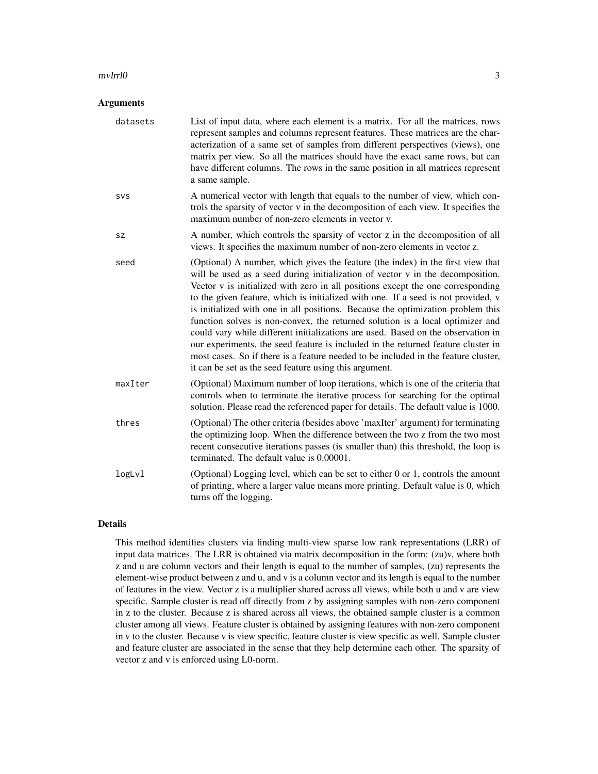#### mvlrrl0 3

#### **Arguments**

| datasets | List of input data, where each element is a matrix. For all the matrices, rows<br>represent samples and columns represent features. These matrices are the char-<br>acterization of a same set of samples from different perspectives (views), one<br>matrix per view. So all the matrices should have the exact same rows, but can<br>have different columns. The rows in the same position in all matrices represent<br>a same sample.                                                                                                                                                                                                                                                                                                                                                                                              |
|----------|---------------------------------------------------------------------------------------------------------------------------------------------------------------------------------------------------------------------------------------------------------------------------------------------------------------------------------------------------------------------------------------------------------------------------------------------------------------------------------------------------------------------------------------------------------------------------------------------------------------------------------------------------------------------------------------------------------------------------------------------------------------------------------------------------------------------------------------|
| SVS      | A numerical vector with length that equals to the number of view, which con-<br>trols the sparsity of vector v in the decomposition of each view. It specifies the<br>maximum number of non-zero elements in vector v.                                                                                                                                                                                                                                                                                                                                                                                                                                                                                                                                                                                                                |
| sz       | A number, which controls the sparsity of vector z in the decomposition of all<br>views. It specifies the maximum number of non-zero elements in vector z.                                                                                                                                                                                                                                                                                                                                                                                                                                                                                                                                                                                                                                                                             |
| seed     | (Optional) A number, which gives the feature (the index) in the first view that<br>will be used as a seed during initialization of vector v in the decomposition.<br>Vector v is initialized with zero in all positions except the one corresponding<br>to the given feature, which is initialized with one. If a seed is not provided, v<br>is initialized with one in all positions. Because the optimization problem this<br>function solves is non-convex, the returned solution is a local optimizer and<br>could vary while different initializations are used. Based on the observation in<br>our experiments, the seed feature is included in the returned feature cluster in<br>most cases. So if there is a feature needed to be included in the feature cluster,<br>it can be set as the seed feature using this argument. |
| maxIter  | (Optional) Maximum number of loop iterations, which is one of the criteria that<br>controls when to terminate the iterative process for searching for the optimal<br>solution. Please read the referenced paper for details. The default value is 1000.                                                                                                                                                                                                                                                                                                                                                                                                                                                                                                                                                                               |
| thres    | (Optional) The other criteria (besides above 'maxIter' argument) for terminating<br>the optimizing loop. When the difference between the two z from the two most<br>recent consecutive iterations passes (is smaller than) this threshold, the loop is<br>terminated. The default value is 0.00001.                                                                                                                                                                                                                                                                                                                                                                                                                                                                                                                                   |
| logLvl   | (Optional) Logging level, which can be set to either 0 or 1, controls the amount<br>of printing, where a larger value means more printing. Default value is 0, which<br>turns off the logging.                                                                                                                                                                                                                                                                                                                                                                                                                                                                                                                                                                                                                                        |

#### Details

This method identifies clusters via finding multi-view sparse low rank representations (LRR) of input data matrices. The LRR is obtained via matrix decomposition in the form: (zu)v, where both z and u are column vectors and their length is equal to the number of samples, (zu) represents the element-wise product between z and u, and v is a column vector and its length is equal to the number of features in the view. Vector z is a multiplier shared across all views, while both u and v are view specific. Sample cluster is read off directly from z by assigning samples with non-zero component in z to the cluster. Because z is shared across all views, the obtained sample cluster is a common cluster among all views. Feature cluster is obtained by assigning features with non-zero component in v to the cluster. Because v is view specific, feature cluster is view specific as well. Sample cluster and feature cluster are associated in the sense that they help determine each other. The sparsity of vector z and v is enforced using L0-norm.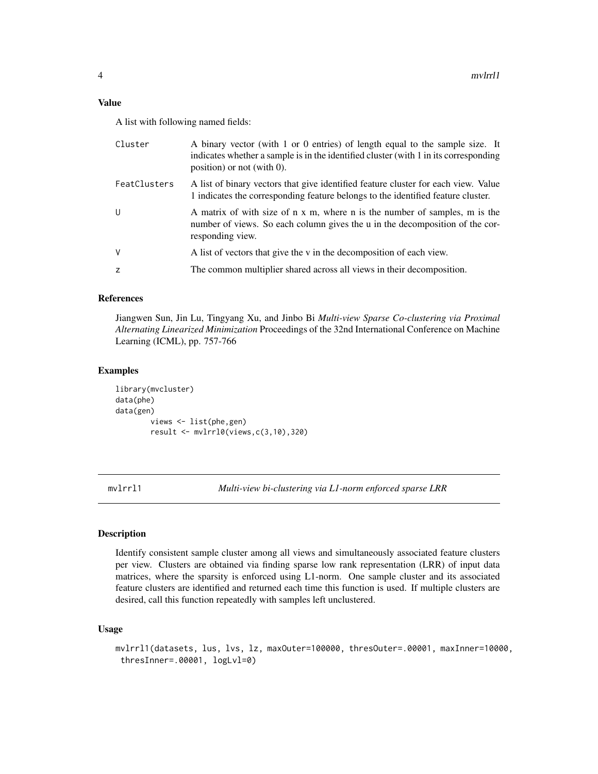#### <span id="page-3-0"></span>Value

A list with following named fields:

| Cluster      | A binary vector (with 1 or 0 entries) of length equal to the sample size. It<br>indicates whether a sample is in the identified cluster (with 1 in its corresponding<br>position) or not (with $0$ ). |
|--------------|-------------------------------------------------------------------------------------------------------------------------------------------------------------------------------------------------------|
| FeatClusters | A list of binary vectors that give identified feature cluster for each view. Value<br>1 indicates the corresponding feature belongs to the identified feature cluster.                                |
| U            | A matrix of with size of n x m, where n is the number of samples, m is the<br>number of views. So each column gives the u in the decomposition of the cor-<br>responding view.                        |
| V            | A list of vectors that give the v in the decomposition of each view.                                                                                                                                  |
| z            | The common multiplier shared across all views in their decomposition.                                                                                                                                 |
|              |                                                                                                                                                                                                       |

#### References

Jiangwen Sun, Jin Lu, Tingyang Xu, and Jinbo Bi *Multi-view Sparse Co-clustering via Proximal Alternating Linearized Minimization* Proceedings of the 32nd International Conference on Machine Learning (ICML), pp. 757-766

#### Examples

```
library(mvcluster)
data(phe)
data(gen)
        views <- list(phe,gen)
        result <- mvlrrl0(views,c(3,10),320)
```
mvlrrl1 *Multi-view bi-clustering via L1-norm enforced sparse LRR*

#### Description

Identify consistent sample cluster among all views and simultaneously associated feature clusters per view. Clusters are obtained via finding sparse low rank representation (LRR) of input data matrices, where the sparsity is enforced using L1-norm. One sample cluster and its associated feature clusters are identified and returned each time this function is used. If multiple clusters are desired, call this function repeatedly with samples left unclustered.

#### Usage

```
mvlrrl1(datasets, lus, lvs, lz, maxOuter=100000, thresOuter=.00001, maxInner=10000,
thresInner=.00001, logLvl=0)
```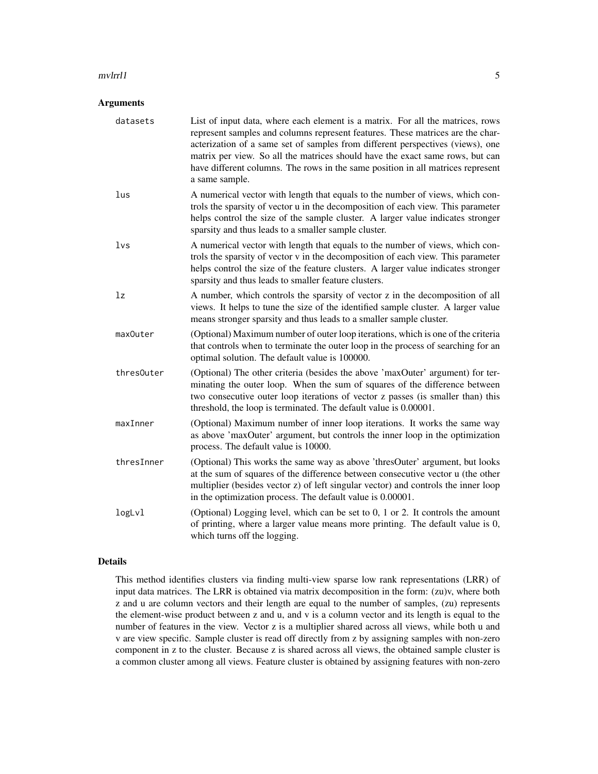#### mvlrrl1 5

#### Arguments

| datasets   | List of input data, where each element is a matrix. For all the matrices, rows<br>represent samples and columns represent features. These matrices are the char-<br>acterization of a same set of samples from different perspectives (views), one<br>matrix per view. So all the matrices should have the exact same rows, but can<br>have different columns. The rows in the same position in all matrices represent<br>a same sample. |
|------------|------------------------------------------------------------------------------------------------------------------------------------------------------------------------------------------------------------------------------------------------------------------------------------------------------------------------------------------------------------------------------------------------------------------------------------------|
| lus        | A numerical vector with length that equals to the number of views, which con-<br>trols the sparsity of vector u in the decomposition of each view. This parameter<br>helps control the size of the sample cluster. A larger value indicates stronger<br>sparsity and thus leads to a smaller sample cluster.                                                                                                                             |
| 1vs        | A numerical vector with length that equals to the number of views, which con-<br>trols the sparsity of vector v in the decomposition of each view. This parameter<br>helps control the size of the feature clusters. A larger value indicates stronger<br>sparsity and thus leads to smaller feature clusters.                                                                                                                           |
| lz         | A number, which controls the sparsity of vector z in the decomposition of all<br>views. It helps to tune the size of the identified sample cluster. A larger value<br>means stronger sparsity and thus leads to a smaller sample cluster.                                                                                                                                                                                                |
| maxOuter   | (Optional) Maximum number of outer loop iterations, which is one of the criteria<br>that controls when to terminate the outer loop in the process of searching for an<br>optimal solution. The default value is 100000.                                                                                                                                                                                                                  |
| thres0uter | (Optional) The other criteria (besides the above 'maxOuter' argument) for ter-<br>minating the outer loop. When the sum of squares of the difference between<br>two consecutive outer loop iterations of vector z passes (is smaller than) this<br>threshold, the loop is terminated. The default value is 0.00001.                                                                                                                      |
| maxInner   | (Optional) Maximum number of inner loop iterations. It works the same way<br>as above 'maxOuter' argument, but controls the inner loop in the optimization<br>process. The default value is 10000.                                                                                                                                                                                                                                       |
| thresInner | (Optional) This works the same way as above 'thresOuter' argument, but looks<br>at the sum of squares of the difference between consecutive vector u (the other<br>multiplier (besides vector z) of left singular vector) and controls the inner loop<br>in the optimization process. The default value is 0.00001.                                                                                                                      |
| logLvl     | (Optional) Logging level, which can be set to $0$ , 1 or 2. It controls the amount<br>of printing, where a larger value means more printing. The default value is 0,<br>which turns off the logging.                                                                                                                                                                                                                                     |

#### Details

This method identifies clusters via finding multi-view sparse low rank representations (LRR) of input data matrices. The LRR is obtained via matrix decomposition in the form: (zu)v, where both z and u are column vectors and their length are equal to the number of samples, (zu) represents the element-wise product between z and u, and v is a column vector and its length is equal to the number of features in the view. Vector z is a multiplier shared across all views, while both u and v are view specific. Sample cluster is read off directly from z by assigning samples with non-zero component in z to the cluster. Because z is shared across all views, the obtained sample cluster is a common cluster among all views. Feature cluster is obtained by assigning features with non-zero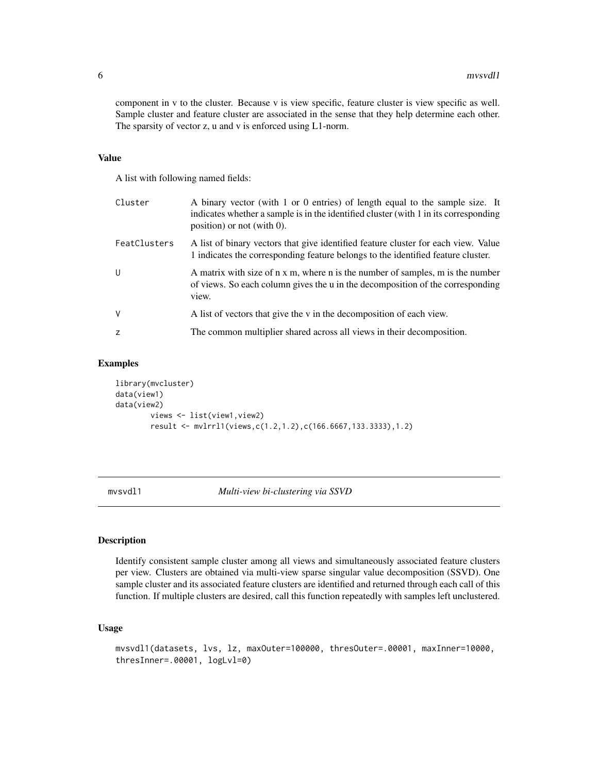component in v to the cluster. Because v is view specific, feature cluster is view specific as well. Sample cluster and feature cluster are associated in the sense that they help determine each other. The sparsity of vector z, u and v is enforced using L1-norm.

#### Value

A list with following named fields:

| Cluster      | A binary vector (with 1 or 0 entries) of length equal to the sample size. It<br>indicates whether a sample is in the identified cluster (with 1 in its corresponding<br>position) or not (with $0$ ). |
|--------------|-------------------------------------------------------------------------------------------------------------------------------------------------------------------------------------------------------|
| FeatClusters | A list of binary vectors that give identified feature cluster for each view. Value<br>1 indicates the corresponding feature belongs to the identified feature cluster.                                |
| U            | A matrix with size of n x m, where n is the number of samples, m is the number<br>of views. So each column gives the u in the decomposition of the corresponding<br>view.                             |
| V            | A list of vectors that give the v in the decomposition of each view.                                                                                                                                  |
| z            | The common multiplier shared across all views in their decomposition.                                                                                                                                 |

#### Examples

```
library(mvcluster)
data(view1)
data(view2)
        views <- list(view1,view2)
        result <- mvlrrl1(views,c(1.2,1.2),c(166.6667,133.3333),1.2)
```
mvsvdl1 *Multi-view bi-clustering via SSVD*

#### Description

Identify consistent sample cluster among all views and simultaneously associated feature clusters per view. Clusters are obtained via multi-view sparse singular value decomposition (SSVD). One sample cluster and its associated feature clusters are identified and returned through each call of this function. If multiple clusters are desired, call this function repeatedly with samples left unclustered.

#### Usage

```
mvsvdl1(datasets, lvs, lz, maxOuter=100000, thresOuter=.00001, maxInner=10000,
thresInner=.00001, logLvl=0)
```
<span id="page-5-0"></span>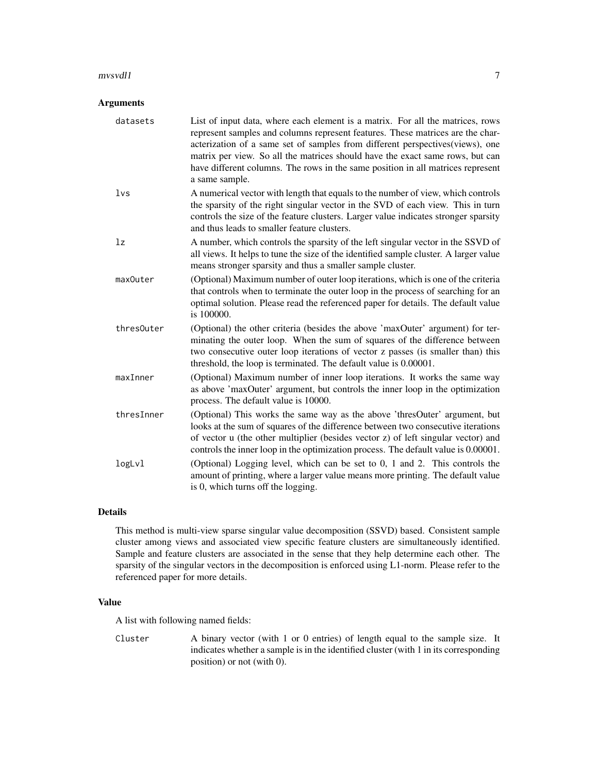#### $m$ vsvdl $1$

#### Arguments

| datasets   | List of input data, where each element is a matrix. For all the matrices, rows<br>represent samples and columns represent features. These matrices are the char-<br>acterization of a same set of samples from different perspectives(views), one<br>matrix per view. So all the matrices should have the exact same rows, but can<br>have different columns. The rows in the same position in all matrices represent<br>a same sample. |
|------------|-----------------------------------------------------------------------------------------------------------------------------------------------------------------------------------------------------------------------------------------------------------------------------------------------------------------------------------------------------------------------------------------------------------------------------------------|
| 1vs        | A numerical vector with length that equals to the number of view, which controls<br>the sparsity of the right singular vector in the SVD of each view. This in turn<br>controls the size of the feature clusters. Larger value indicates stronger sparsity<br>and thus leads to smaller feature clusters.                                                                                                                               |
| lz         | A number, which controls the sparsity of the left singular vector in the SSVD of<br>all views. It helps to tune the size of the identified sample cluster. A larger value<br>means stronger sparsity and thus a smaller sample cluster.                                                                                                                                                                                                 |
| maxOuter   | (Optional) Maximum number of outer loop iterations, which is one of the criteria<br>that controls when to terminate the outer loop in the process of searching for an<br>optimal solution. Please read the referenced paper for details. The default value<br>is 100000.                                                                                                                                                                |
| thresOuter | (Optional) the other criteria (besides the above 'maxOuter' argument) for ter-<br>minating the outer loop. When the sum of squares of the difference between<br>two consecutive outer loop iterations of vector z passes (is smaller than) this<br>threshold, the loop is terminated. The default value is 0.00001.                                                                                                                     |
| maxInner   | (Optional) Maximum number of inner loop iterations. It works the same way<br>as above 'maxOuter' argument, but controls the inner loop in the optimization<br>process. The default value is 10000.                                                                                                                                                                                                                                      |
| thresInner | (Optional) This works the same way as the above 'thresOuter' argument, but<br>looks at the sum of squares of the difference between two consecutive iterations<br>of vector u (the other multiplier (besides vector z) of left singular vector) and<br>controls the inner loop in the optimization process. The default value is 0.00001.                                                                                               |
| logLvl     | (Optional) Logging level, which can be set to 0, 1 and 2. This controls the<br>amount of printing, where a larger value means more printing. The default value<br>is 0, which turns off the logging.                                                                                                                                                                                                                                    |

#### Details

This method is multi-view sparse singular value decomposition (SSVD) based. Consistent sample cluster among views and associated view specific feature clusters are simultaneously identified. Sample and feature clusters are associated in the sense that they help determine each other. The sparsity of the singular vectors in the decomposition is enforced using L1-norm. Please refer to the referenced paper for more details.

#### Value

A list with following named fields:

Cluster A binary vector (with 1 or 0 entries) of length equal to the sample size. It indicates whether a sample is in the identified cluster (with 1 in its corresponding position) or not (with 0).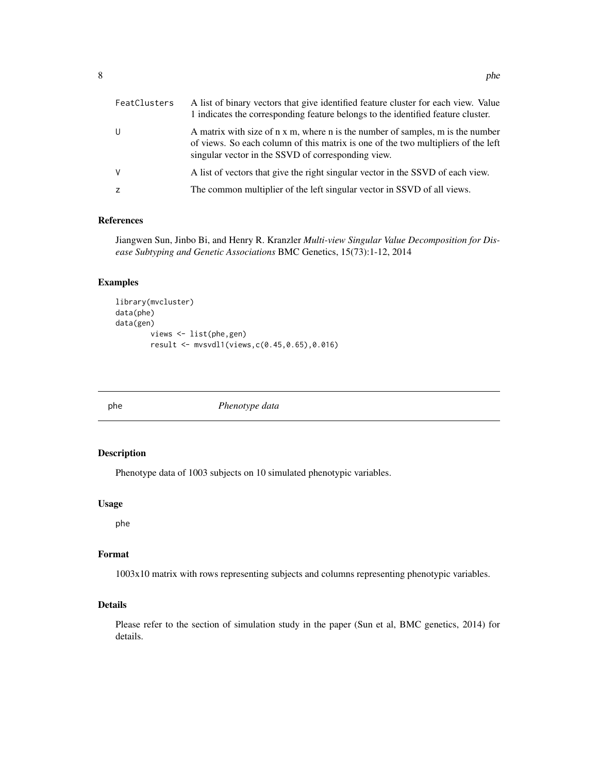<span id="page-7-0"></span>

| FeatClusters | A list of binary vectors that give identified feature cluster for each view. Value<br>1 indicates the corresponding feature belongs to the identified feature cluster.                                                    |
|--------------|---------------------------------------------------------------------------------------------------------------------------------------------------------------------------------------------------------------------------|
| -U           | A matrix with size of n x m, where n is the number of samples, m is the number<br>of views. So each column of this matrix is one of the two multipliers of the left<br>singular vector in the SSVD of corresponding view. |
| <sub>V</sub> | A list of vectors that give the right singular vector in the SSVD of each view.                                                                                                                                           |
|              | The common multiplier of the left singular vector in SSVD of all views.                                                                                                                                                   |

#### References

Jiangwen Sun, Jinbo Bi, and Henry R. Kranzler *Multi-view Singular Value Decomposition for Disease Subtyping and Genetic Associations* BMC Genetics, 15(73):1-12, 2014

#### Examples

```
library(mvcluster)
data(phe)
data(gen)
        views <- list(phe,gen)
        result <- mvsvdl1(views,c(0.45,0.65),0.016)
```
phe *Phenotype data*

#### Description

Phenotype data of 1003 subjects on 10 simulated phenotypic variables.

#### Usage

phe

#### Format

1003x10 matrix with rows representing subjects and columns representing phenotypic variables.

#### Details

Please refer to the section of simulation study in the paper (Sun et al, BMC genetics, 2014) for details.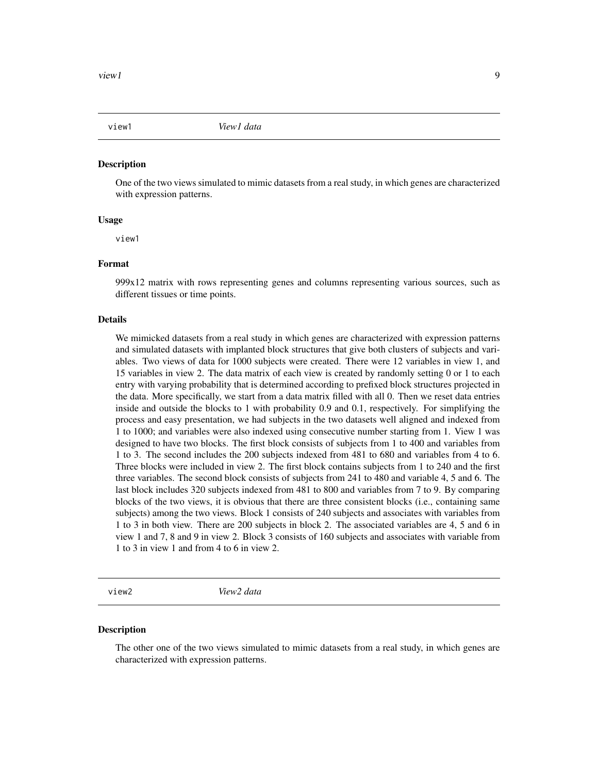<span id="page-8-0"></span>

#### **Description**

One of the two views simulated to mimic datasets from a real study, in which genes are characterized with expression patterns.

#### Usage

view1

#### Format

999x12 matrix with rows representing genes and columns representing various sources, such as different tissues or time points.

#### Details

We mimicked datasets from a real study in which genes are characterized with expression patterns and simulated datasets with implanted block structures that give both clusters of subjects and variables. Two views of data for 1000 subjects were created. There were 12 variables in view 1, and 15 variables in view 2. The data matrix of each view is created by randomly setting 0 or 1 to each entry with varying probability that is determined according to prefixed block structures projected in the data. More specifically, we start from a data matrix filled with all 0. Then we reset data entries inside and outside the blocks to 1 with probability 0.9 and 0.1, respectively. For simplifying the process and easy presentation, we had subjects in the two datasets well aligned and indexed from 1 to 1000; and variables were also indexed using consecutive number starting from 1. View 1 was designed to have two blocks. The first block consists of subjects from 1 to 400 and variables from 1 to 3. The second includes the 200 subjects indexed from 481 to 680 and variables from 4 to 6. Three blocks were included in view 2. The first block contains subjects from 1 to 240 and the first three variables. The second block consists of subjects from 241 to 480 and variable 4, 5 and 6. The last block includes 320 subjects indexed from 481 to 800 and variables from 7 to 9. By comparing blocks of the two views, it is obvious that there are three consistent blocks (i.e., containing same subjects) among the two views. Block 1 consists of 240 subjects and associates with variables from 1 to 3 in both view. There are 200 subjects in block 2. The associated variables are 4, 5 and 6 in view 1 and 7, 8 and 9 in view 2. Block 3 consists of 160 subjects and associates with variable from 1 to 3 in view 1 and from 4 to 6 in view 2.

view2 *View2 data*

#### Description

The other one of the two views simulated to mimic datasets from a real study, in which genes are characterized with expression patterns.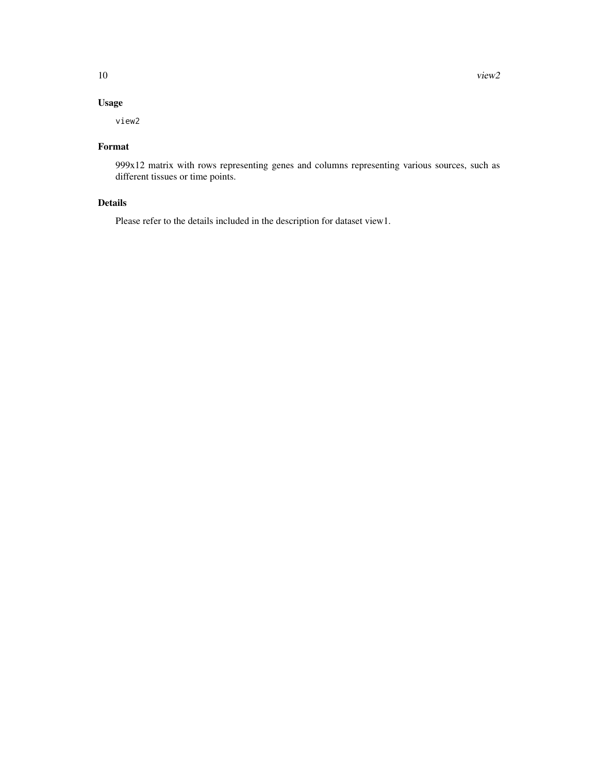#### Usage

view2

#### Format

999x12 matrix with rows representing genes and columns representing various sources, such as different tissues or time points.

#### Details

Please refer to the details included in the description for dataset view1.